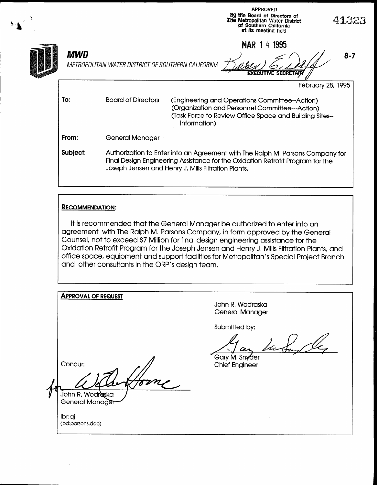| ¥ |          |                                                                                                                                                                                                                         | <b>APPROVED</b><br>By the Board of Directors of<br><b>The Metropolitan Water District</b><br>of Southern California<br>at its meeting held                                   | 41323   |  |  |  |
|---|----------|-------------------------------------------------------------------------------------------------------------------------------------------------------------------------------------------------------------------------|------------------------------------------------------------------------------------------------------------------------------------------------------------------------------|---------|--|--|--|
|   | MWD      | METROPOLITAN WATER DISTRICT OF SOUTHERN CALIFORNIA                                                                                                                                                                      | 1995<br>MAR 1<br>- 18<br><b>EXECUTIVE SECRETAR</b>                                                                                                                           | $8 - 7$ |  |  |  |
|   |          |                                                                                                                                                                                                                         | February 28, 1995                                                                                                                                                            |         |  |  |  |
|   | To:      | <b>Board of Directors</b>                                                                                                                                                                                               | (Engineering and Operations Committee--Action)<br>(Organization and Personnel Committee---Action)<br>(Task Force to Review Office Space and Building Sites--<br>Information) |         |  |  |  |
|   | From:    | General Manager                                                                                                                                                                                                         |                                                                                                                                                                              |         |  |  |  |
|   | Subject: | Authorization to Enter into an Agreement with The Ralph M. Parsons Company for<br>Final Design Engineering Assistance for the Oxidation Retrofit Program for the<br>Joseph Jensen and Henry J. Mills Filtration Plants. |                                                                                                                                                                              |         |  |  |  |

## RECOMMENDATION:

It is recommended that the General Manager be authorized to enter into an agreement with The Ralph M. Parsons Company, in form approved by the General Counsel, not to exceed \$7 Million for final design engineering assistance for the Oxidation Retrofit Program for the Joseph Jensen and Henry J, Mills Filtration Plants, and office space, equipment and support facilities for Metropolitan's Special Project Branch and other consultants in the ORP's design team,

| <b>APPROVAL OF REQUEST</b>                     | John R. Wodraska<br><b>General Manager</b>                           |
|------------------------------------------------|----------------------------------------------------------------------|
| Concur:<br>John R. Wodraska<br>General Manager | Submitted by:<br>d s<br>œ<br>Gary M. Snyder<br><b>Chief Engineer</b> |
| Ibr:aj<br>(bd:parsons.doc)                     |                                                                      |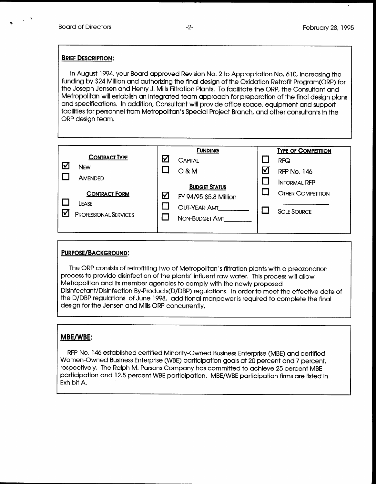I

#### **BRIEF DESCRIPTION:**

In August 1994, your Board approved Revision No, 2 to Appropriation No, 610, increasing the funding by \$24 Million and authorizing the final design of the Oxidation Retrofit Program(ORP) for the Joseph Jensen and Henry J. Mills Filtration Plants. To facilitate the ORP, the Consultant and Metropolitan will establish an integrated team approach for preparation of the final design plans and specifications, In addition, Consultant will provide office space, equipment and support facilities for personnel from Metropolitan's Special Project Branch, and other consultants in the ORP design team,

|                  |                                       |          | <b>FUNDING</b>                 |   | <b>TYPE OF COMPETITION</b> |
|------------------|---------------------------------------|----------|--------------------------------|---|----------------------------|
|                  | <b>CONTRACT TYPE</b>                  | <u>V</u> | <b>CAPITAL</b>                 |   | <b>RFQ</b>                 |
| $\bm{\boxtimes}$ | <b>NEW</b>                            |          | $O$ & M                        | ₩ | <b>RFP No. 146</b>         |
|                  | AMENDED                               |          | <b>BUDGET STATUS</b>           |   | <b>INFORMAL RFP</b>        |
|                  | <b>CONTRACT FORM</b>                  | ⊻        | FY 94/95 \$5.8 Million         |   | <b>OTHER COMPETITION</b>   |
|                  | LEASE<br><b>PROFESSIONAL SERVICES</b> |          | OUT-YEAR AMT<br>NON-BUDGET AMT |   | <b>SOLE SOURCE</b>         |
|                  |                                       |          |                                |   |                            |

## PURPOSE/BACKGROUND:

The ORP consists of retrofitting two of Metropolitan's filtration plants with a preozonation process to provide disinfection of the plants' influent raw water, This process will allow Metropolitan and its member agencies to comply with the newly proposed Disinfectant/Disinfection By-Products(D/DBP) regulations. In order to meet the effective date of the D/DBP regulations of June 1998, additional manpower is required to complete the final design for the Jensen and Mills ORP concurrently,

## MBE/WBE:

RFP No. 146 established certified Minority-Owned Business Enterprise (MBE) and certified Women-Owned Business Enterprise (WBE) participation goals at 20 percent and 7 percent, respectively. The Ralph M. Parsons Company has committed to achieve 25 percent MBE participation and 12.5 percent WBE participation. MBE/WBE participation firms are listed in Exhibit A.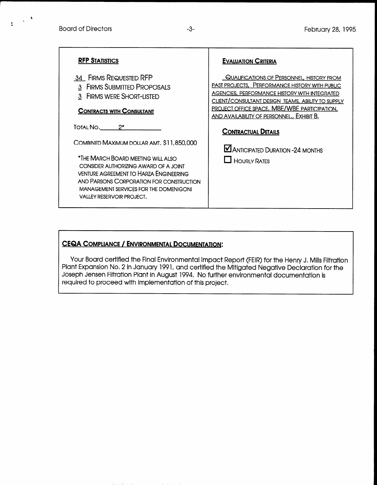$\mathbf{R}^{(n)}$  and  $\mathbf{R}^{(n)}$ 

| <b>RFP STATISTICS</b>                                                                                                                                                                                                                           | <b>EVALUATION CRITERIA</b>                                                                                                                                                                                                                                                                                    |
|-------------------------------------------------------------------------------------------------------------------------------------------------------------------------------------------------------------------------------------------------|---------------------------------------------------------------------------------------------------------------------------------------------------------------------------------------------------------------------------------------------------------------------------------------------------------------|
| 34 FIRMS REQUESTED RFP<br>3 FIRMS SUBMITTED PROPOSALS<br>3 FIRMS WERE SHORT-LISTED<br><b>CONTRACTS WITH CONSULTANT</b>                                                                                                                          | QUALIFICATIONS OF PERSONNEL, HISTORY FROM<br><b>PAST PROJECTS, PERFORMANCE HISTORY WITH PUBLIC</b><br>AGENCIES, PERFORMANCE HISTORY WITH INTEGRATED<br>CLIENT/CONSULTANT DESIGN TEAMS, ABILITY TO SUPPLY<br><b>PROJECT OFFICE SPACE, MBE/WBE PARTICIPATION,</b><br>AND AVAILABILITY OF PERSONNEL., EXHIBIT B. |
| TOTAL NO. 2*                                                                                                                                                                                                                                    | <b>CONTRACTUAL DETAILS</b>                                                                                                                                                                                                                                                                                    |
| COMBINED MAXIMUM DOLLAR AMT. \$11,850,000                                                                                                                                                                                                       | <b>MANTICIPATED DURATION -24 MONTHS</b>                                                                                                                                                                                                                                                                       |
| *THE MARCH BOARD MEETING WILL ALSO<br>CONSIDER AUTHORIZING AWARD OF A JOINT<br><b>VENTURE AGREEMENT TO HARZA ENGINEERING</b><br>AND PARSONS CORPORATION FOR CONSTRUCTION<br>MANAGEMENT SERVICES FOR THE DOMENIGONI<br>VALLEY RESERVOIR PROJECT. | $\Box$ HOURLY RATES                                                                                                                                                                                                                                                                                           |

# CEQA COMPLIANCE / ENVIRONMENTAL DOCUMENTATION:

Your Board certified the Final Environmental Impact Report (FEIR) for the Henry J. Mills Filtration Plant Expansion No. 2 in January 1991, and certified the Mitigated Negative Declaration for the Joseph Jensen Filtration Plant in August 1994. No further environmental documentation is required to proceed with implementation of this project.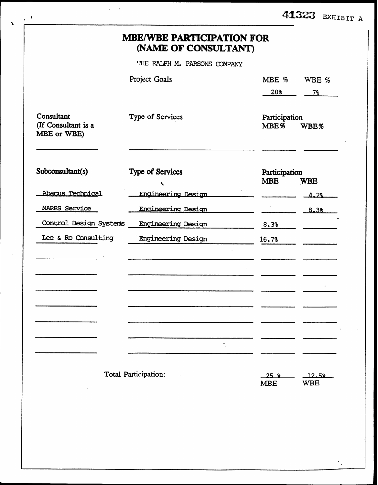|                                                  | <b>MBE/WBE PARTICIPATION FOR</b><br>(NAME OF CONSULTANT) |                             |                     |
|--------------------------------------------------|----------------------------------------------------------|-----------------------------|---------------------|
|                                                  | THE RALPH M. PARSONS COMPANY                             |                             |                     |
|                                                  | Project Goals                                            | MBE %                       | WBE %               |
|                                                  |                                                          | 20%                         | 7%                  |
| Consultant<br>(If Consultant is a<br>MBE or WBE) | Type of Services                                         | Participation<br>MBE%       | WBE%                |
| Subconsultant(s)                                 | Type of Services<br>$\mathbf{r}$                         | Participation<br><b>MBE</b> | <b>WBE</b>          |
| Abacus Technical                                 | Engineering Design                                       |                             | 4.28                |
| MARRS Service                                    | Engineering Design                                       |                             | 8.38                |
| Control Design Systems                           | <b>Engineering Design</b>                                | 8.3%                        |                     |
| Lee & Ro Consulting                              | <b>Engineering Design</b>                                | 16.7%                       |                     |
|                                                  |                                                          |                             |                     |
|                                                  |                                                          |                             |                     |
|                                                  |                                                          |                             |                     |
|                                                  |                                                          |                             |                     |
|                                                  |                                                          |                             |                     |
|                                                  |                                                          |                             |                     |
|                                                  | ۰.                                                       |                             |                     |
|                                                  | Total Participation:                                     | $-25$ %<br><b>MBE</b>       | 12.58<br><b>WBE</b> |

 $\langle \cdot, \cdot \rangle_{\mathcal{O}} \in \mathcal{O}_{\mathcal{O}}$ 

 $\epsilon_{\rm{B}}$